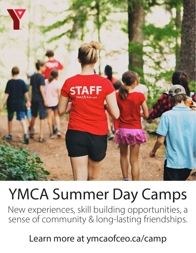

# YMCA Summer Day Camps

New experiences, skill building opportunities, a sense of community & long-lasting friendships.

Learn more at ymcaofceo.ca/camp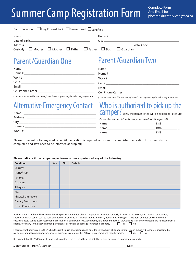## Summer Camp Registration Form

| Camp Location: $\Box$ King Edward Park $\Box$ Beavermead $\Box$ Lakefield |  |  |  |  |  |                                                                                             |  |
|---------------------------------------------------------------------------|--|--|--|--|--|---------------------------------------------------------------------------------------------|--|
|                                                                           |  |  |  |  |  |                                                                                             |  |
|                                                                           |  |  |  |  |  |                                                                                             |  |
|                                                                           |  |  |  |  |  |                                                                                             |  |
|                                                                           |  |  |  |  |  | Custody $\Box$ Mother $\Box$ Mother $\Box$ Father $\Box$ Father $\Box$ Both $\Box$ Guardian |  |

### Parent/Guardian One

| Name                                                         |
|--------------------------------------------------------------|
| $Home # _______$                                             |
|                                                              |
|                                                              |
| Email<br><u> 1989 - Johann Harry Barn, mars ar brezhon e</u> |
| Cell Phone Carrier <u>______________________</u>             |

## Parent/Guardian Two

| Home#                                                           |
|-----------------------------------------------------------------|
|                                                                 |
| Cell#<br><u> 1986 - Jan Samuel Barbara, politik a politik (</u> |
|                                                                 |
|                                                                 |

*(communications will be sent through email / text so providing this info is very important)*

*(communications will be sent through email / text so providing this info is very important)*

## Alternative Emergency Contact

| Home # _______________ |
|------------------------|
|                        |
|                        |

### Who is authorized to pick up the Camper? (only the names listed will be eligible for pick up)

*Please make every effort to have the same person drop off and pick up your child* 

| Name | DOR        |
|------|------------|
| Name | DOR        |
| Name | <b>DOB</b> |

Please comment or list any medication (if medication is required, a consent to administer medication form needs to be completed and staff need to be informed at drop off)

#### **Please indicate if the camper experiences or has experienced any of the following:**

| <b>Condition</b>            | <b>Yes</b> | <b>No</b> | <b>Details</b> |
|-----------------------------|------------|-----------|----------------|
| Seizures                    |            |           |                |
| ADHD/ADD                    |            |           |                |
| Asthma                      |            |           |                |
| <b>Diabetes</b>             |            |           |                |
| Allergies                   |            |           |                |
| <b>ASD</b>                  |            |           |                |
| <b>Physical Limitations</b> |            |           |                |
| <b>Dietary Restrictions</b> |            |           |                |
| <b>Other Conditions</b>     |            |           |                |

Authorizations: In the unlikely event that the participant named above is injured or becomes seriously ill while at the YMCA, and I cannot be reached, I authorize YMCA senior staff to seek and authorize any and all hospitalizations, medical, dental and/or surgical treatment deemed advisable by the circumstances. While every reasonable precaution is taken with YMCA programs, it is agreed that the YMCA and its staff and volunteers are released from all liability for injury to the above named participants or for loss or damage to personal property.  $\Box$  Yes  $\Box$  No

I hereby grant permission to the YMCA the right to use photographs and or video in which my child appears for use in publicity brochures, social media platforms, annual reports or other printed materials promoting the YMCA, its programs and memberships.  $\Box$  Yes  $\Box$  No

It is agreed that the YMCA and its staff and volunteers are released from all liability for loss or damage to personal property.

Signature of Parent/Guardian and the state of Parent/Guardian and the state of Parent of Parent of Parent of Parent of Parent of Parent of Parent of Parent of Parent of Parent of Parent of Parent of Parent of Parent of Par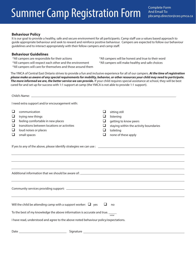## Summer Camp Registration Form

Complete Form And Email To: pbcamp.director@ceo.ymca.ca

#### **Behaviour Policy**

It is our goal to provide a healthy, safe and secure environment for all participants. Camp staff use a values based approach to guide appropriate behaviour and seek to reward and reinforce positive behaviour. Campers are expected to follow our behaviour guidelines and to interact appropriately with their fellow campers and camp staff.

#### **Behaviour Guidelines**

- 
- \*All campers will respect each other and the environment \*All campers will make healthy and safe choices
- \*All campers will care for themselves and those around them

\*All campers are responsible for their actions \*All campers will be honest and true to their word

The YMCA of Central East Ontario strives to provide a fun and inclusive experience for all of our campers. *At the time of registration please make us aware of any special requirements for mobility, behavior, or other resources your child may need to participate. The more informed we are, the better service we can provide.* If your child requires special assistance at school, they will be best cared for and set up for success with 1:1 support at camp (the YMCA is not able to provide 1:1 support).

|                                           | I need extra support and/or encouragement with:                                                                                                                                                                                                                       |                                        |                                                                                                                                   |  |  |  |  |  |
|-------------------------------------------|-----------------------------------------------------------------------------------------------------------------------------------------------------------------------------------------------------------------------------------------------------------------------|----------------------------------------|-----------------------------------------------------------------------------------------------------------------------------------|--|--|--|--|--|
| ❏<br>$\Box$<br>$\Box$<br>$\Box$<br>❏<br>❏ | communication<br>trying new things<br>feeling comfortable in new places<br>transitions between locations or activities<br>loud noises or places<br>small spaces                                                                                                       | ❏<br>$\Box$<br>ப<br>ப<br>$\sqcup$<br>□ | sitting still<br>listening<br>getting to know peers<br>staying within the activity boundaries<br>toileting<br>none of these apply |  |  |  |  |  |
|                                           |                                                                                                                                                                                                                                                                       |                                        |                                                                                                                                   |  |  |  |  |  |
|                                           | ,我们也不会有一个人的人,我们也不会有一个人的人,我们也不会有一个人的人。""我们,我们也不会有一个人的人,我们也不会有一个人的人,我们也不会有一个人的人。""我                                                                                                                                                                                     |                                        |                                                                                                                                   |  |  |  |  |  |
|                                           |                                                                                                                                                                                                                                                                       |                                        |                                                                                                                                   |  |  |  |  |  |
|                                           | Will the child be attending camp with a support worker: $\Box$ yes<br>$\Box$<br>no<br>To the best of my knowledge the above information is accurate and true. _____<br>initial<br>I have read, understood and agree to the above noted behaviour policy/expectations. |                                        |                                                                                                                                   |  |  |  |  |  |